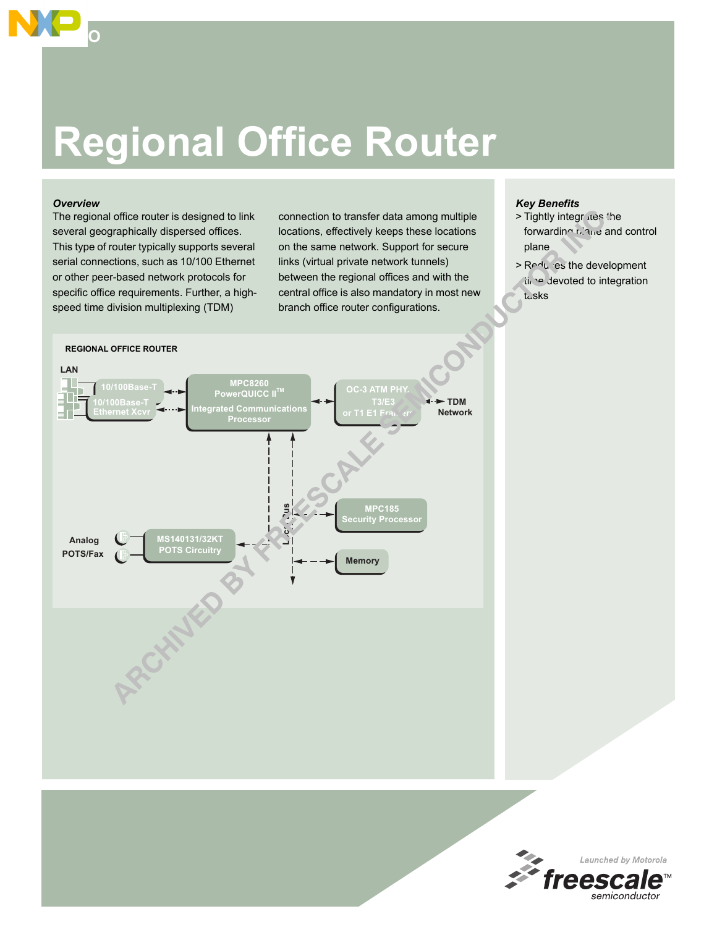# **Regional Office Router**

#### *Overview*

**SOHO**

The regional office router is designed to link several geographically dispersed offices. This type of router typically supports several serial connections, such as 10/100 Ethernet or other peer-based network protocols for specific office requirements. Further, a highspeed time division multiplexing (TDM)

connection to transfer data among multiple locations, effectively keeps these locations on the same network. Support for secure links (virtual private network tunnels) between the regional offices and with the central office is also mandatory in most new branch office router configurations.

#### *Key Benefits*

- > Tightly integrates the forwarding *plane* and control plane
- > Reduces the development time devoted to integration tasks



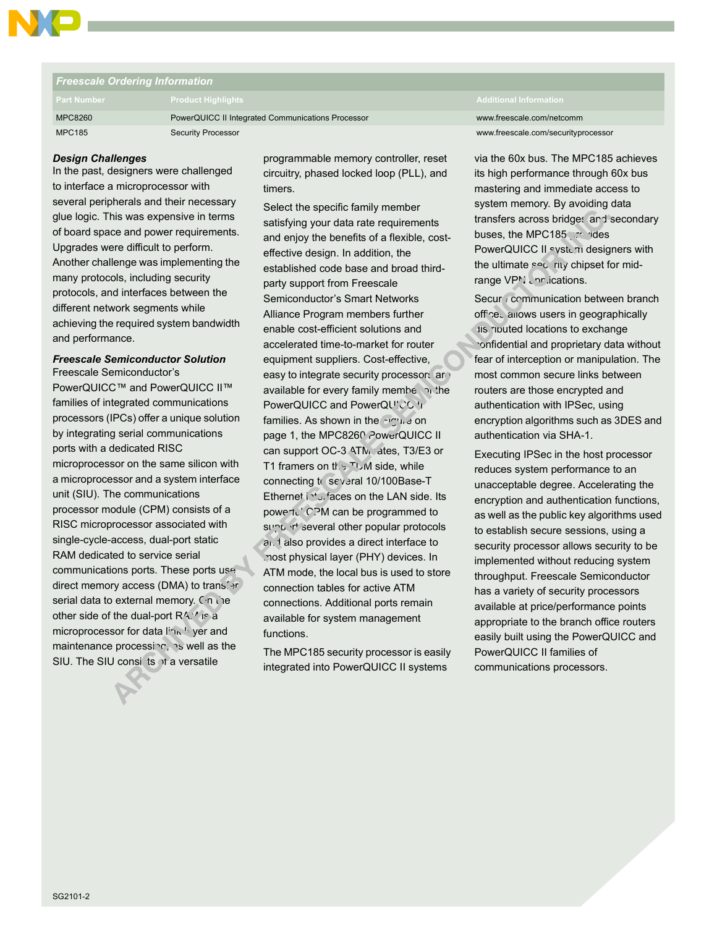

## *Freescale Ordering Information* MPC8260 PowerQUICC II Integrated Communications Processor www.freescale.com/netcomm MPC185 Security Processor www.freescale.com/securityprocessor

#### *Design Challenges*

In the past, designers were challenged to interface a microprocessor with several peripherals and their necessary glue logic. This was expensive in terms of board space and power requirements. Upgrades were difficult to perform. Another challenge was implementing the many protocols, including security protocols, and interfaces between the different network segments while achieving the required system bandwidth and performance.

#### *Freescale Semiconductor Solution* Freescale Semiconductor's

PowerQUICC™ and PowerQUICC II™ families of integrated communications processors (IPCs) offer a unique solution by integrating serial communications ports with a dedicated RISC microprocessor on the same silicon with a microprocessor and a system interface unit (SIU). The communications processor module (CPM) consists of a RISC microprocessor associated with single-cycle-access, dual-port static RAM dedicated to service serial communications ports. These ports use direct memory access (DMA) to transfer serial data to external memory. On the other side of the dual-port  $R\Lambda$ .' is a microprocessor for data link <sup>li</sup> yer and maintenance processing, as well as the SIU. The SIU consists of a versatile

programmable memory controller, reset circuitry, phased locked loop (PLL), and timers.

Select the specific family member satisfying your data rate requirements and enjoy the benefits of a flexible, costeffective design. In addition, the established code base and broad thirdparty support from Freescale Semiconductor's Smart Networks Alliance Program members further enable cost-efficient solutions and accelerated time-to-market for router equipment suppliers. Cost-effective, easy to integrate security processors are available for every family member of the PowerQUICC and PowerQUICC II families. As shown in the  $F(x)$  e on page 1, the MPC8260 PowerQUICC II can support OC-3 ATM .ates, T3/E3 or T1 framers on the TDM side, while connecting to several 10/100Base-T Ethernet interfaces on the LAN side. Its powert.' CPM can be programmed to support several other popular protocols and also provides a direct interface to most physical layer (PHY) devices. In ATM mode, the local bus is used to store connection tables for active ATM connections. Additional ports remain available for system management functions.

The MPC185 security processor is easily integrated into PowerQUICC II systems

via the 60x bus. The MPC185 achieves its high performance through 60x bus mastering and immediate access to system memory. By avoiding data transfers across bridges and secondary buses, the MPC185 provides PowerQUICC II system designers with the ultimate security chipset for midrange VPM annications.

Secur: communication between branch offices allows users in geographically tis ributed locations to exchange confidential and proprietary data without fear of interception or manipulation. The most common secure links between routers are those encrypted and authentication with IPSec, using encryption algorithms such as 3DES and authentication via SHA-1.

Executing IPSec in the host processor reduces system performance to an unacceptable degree. Accelerating the encryption and authentication functions, as well as the public key algorithms used to establish secure sessions, using a security processor allows security to be implemented without reducing system throughput. Freescale Semiconductor has a variety of security processors available at price/performance points appropriate to the branch office routers easily built using the PowerQUICC and PowerQUICC II families of communications processors.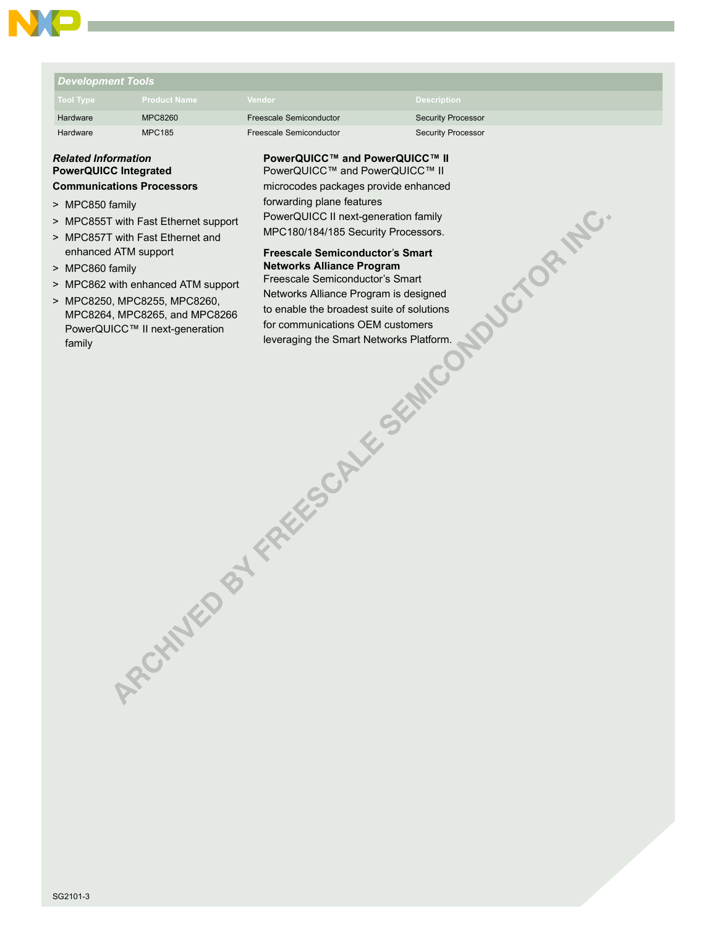### *Development Tools*

| <b>Tool Type</b> | <b>Product Name</b> | <b>Vendor</b>           | <b>Description</b>        |
|------------------|---------------------|-------------------------|---------------------------|
| Hardware         | <b>MPC8260</b>      | Freescale Semiconductor | <b>Security Processor</b> |
| Hardware         | <b>MPC185</b>       | Freescale Semiconductor | <b>Security Processor</b> |

#### *Related Information* **PowerQUICC Integrated Communications Processors**

- > MPC850 family
- > MPC855T with Fast Ethernet support
- > MPC857T with Fast Ethernet and enhanced ATM support
- > MPC860 family
- > MPC862 with enhanced ATM support
- > MPC8250, MPC8255, MPC8260, MPC8264, MPC8265, and MPC8266 PowerQUICC™ II next-generation family

**PowerQUICC™ and PowerQUICC™ II** PowerQUICC™ and PowerQUICC™ II microcodes packages provide enhanced forwarding plane features PowerQUICC II next-generation family

MPC180/184/185 Security Processors.

#### **Freescale Semiconductor**í**s Smart Networks Alliance Program**

Freescale Semiconductor's Smart Networks Alliance Program is designed to enable the broadest suite of solutions for communications OEM customers leveraging the Smart Networks Platform.